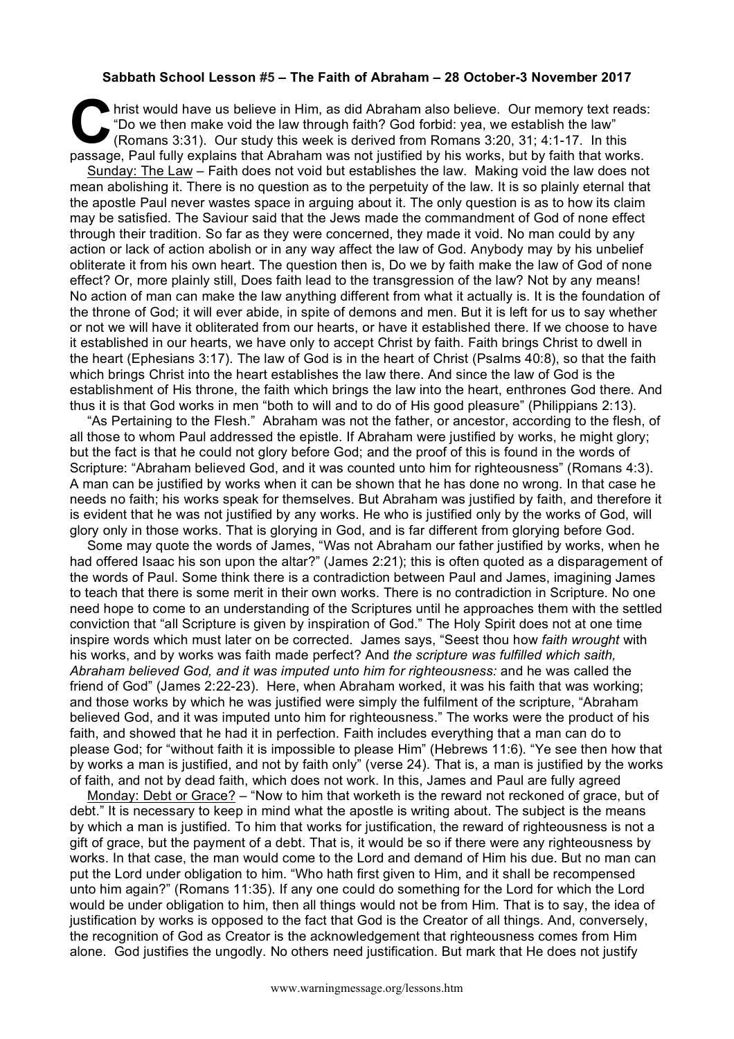## **Sabbath School Lesson #5 – The Faith of Abraham – 28 October-3 November 2017**

hrist would have us believe in Him, as did Abraham also believe. Our memory text reads: "Do we then make void the law through faith? God forbid: yea, we establish the law" (Romans 3:31). Our study this week is derived from Romans 3:20, 31; 4:1-17. In this **Particular fully explains that Abraham also believe.** Our memory text reads "Do we then make void the law through faith? God forbid: yea, we establish the law" (Romans 3:31). Our study this week is derived from Romans 3:2

Sunday: The Law – Faith does not void but establishes the law. Making void the law does not mean abolishing it. There is no question as to the perpetuity of the law. It is so plainly eternal that the apostle Paul never wastes space in arguing about it. The only question is as to how its claim may be satisfied. The Saviour said that the Jews made the commandment of God of none effect through their tradition. So far as they were concerned, they made it void. No man could by any action or lack of action abolish or in any way affect the law of God. Anybody may by his unbelief obliterate it from his own heart. The question then is, Do we by faith make the law of God of none effect? Or, more plainly still, Does faith lead to the transgression of the law? Not by any means! No action of man can make the law anything different from what it actually is. It is the foundation of the throne of God; it will ever abide, in spite of demons and men. But it is left for us to say whether or not we will have it obliterated from our hearts, or have it established there. If we choose to have it established in our hearts, we have only to accept Christ by faith. Faith brings Christ to dwell in the heart (Ephesians 3:17). The law of God is in the heart of Christ (Psalms 40:8), so that the faith which brings Christ into the heart establishes the law there. And since the law of God is the establishment of His throne, the faith which brings the law into the heart, enthrones God there. And thus it is that God works in men "both to will and to do of His good pleasure" (Philippians 2:13).

"As Pertaining to the Flesh." Abraham was not the father, or ancestor, according to the flesh, of all those to whom Paul addressed the epistle. If Abraham were justified by works, he might glory; but the fact is that he could not glory before God; and the proof of this is found in the words of Scripture: "Abraham believed God, and it was counted unto him for righteousness" (Romans 4:3). A man can be justified by works when it can be shown that he has done no wrong. In that case he needs no faith; his works speak for themselves. But Abraham was justified by faith, and therefore it is evident that he was not justified by any works. He who is justified only by the works of God, will glory only in those works. That is glorying in God, and is far different from glorying before God.

Some may quote the words of James, "Was not Abraham our father justified by works, when he had offered Isaac his son upon the altar?" (James 2:21); this is often quoted as a disparagement of the words of Paul. Some think there is a contradiction between Paul and James, imagining James to teach that there is some merit in their own works. There is no contradiction in Scripture. No one need hope to come to an understanding of the Scriptures until he approaches them with the settled conviction that "all Scripture is given by inspiration of God." The Holy Spirit does not at one time inspire words which must later on be corrected. James says, "Seest thou how *faith wrought* with his works, and by works was faith made perfect? And *the scripture was fulfilled which saith, Abraham believed God, and it was imputed unto him for righteousness:* and he was called the friend of God" (James 2:22-23). Here, when Abraham worked, it was his faith that was working; and those works by which he was justified were simply the fulfilment of the scripture, "Abraham believed God, and it was imputed unto him for righteousness." The works were the product of his faith, and showed that he had it in perfection. Faith includes everything that a man can do to please God; for "without faith it is impossible to please Him" (Hebrews 11:6). "Ye see then how that by works a man is justified, and not by faith only" (verse 24). That is, a man is justified by the works of faith, and not by dead faith, which does not work. In this, James and Paul are fully agreed

Monday: Debt or Grace? - "Now to him that worketh is the reward not reckoned of grace. but of debt." It is necessary to keep in mind what the apostle is writing about. The subject is the means by which a man is justified. To him that works for justification, the reward of righteousness is not a gift of grace, but the payment of a debt. That is, it would be so if there were any righteousness by works. In that case, the man would come to the Lord and demand of Him his due. But no man can put the Lord under obligation to him. "Who hath first given to Him, and it shall be recompensed unto him again?" (Romans 11:35). If any one could do something for the Lord for which the Lord would be under obligation to him, then all things would not be from Him. That is to say, the idea of justification by works is opposed to the fact that God is the Creator of all things. And, conversely, the recognition of God as Creator is the acknowledgement that righteousness comes from Him alone. God justifies the ungodly. No others need justification. But mark that He does not justify